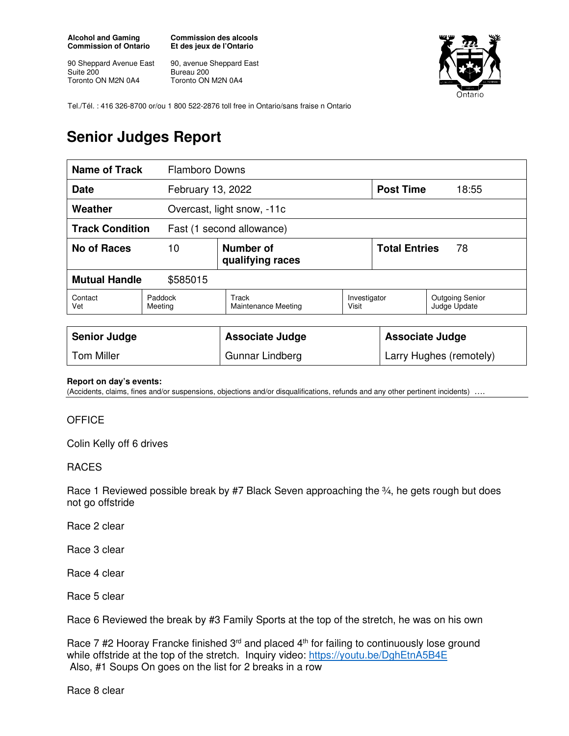**Alcohol and Gaming Commission of Ontario** 

90 Sheppard Avenue East Suite 200 Toronto ON M2N 0A4

**Commission des alcools Et des jeux de l'Ontario** 

90, avenue Sheppard East Bureau 200 Toronto ON M2N 0A4



Tel./Tél. : 416 326-8700 or/ou 1 800 522-2876 toll free in Ontario/sans fraise n Ontario

## **Senior Judges Report**

| <b>Name of Track</b>                                |                    | <b>Flamboro Downs</b>               |                       |                            |                                        |  |
|-----------------------------------------------------|--------------------|-------------------------------------|-----------------------|----------------------------|----------------------------------------|--|
| <b>Date</b>                                         |                    | February 13, 2022                   |                       |                            | <b>Post Time</b><br>18:55              |  |
| Weather                                             |                    | Overcast, light snow, -11c          |                       |                            |                                        |  |
| <b>Track Condition</b><br>Fast (1 second allowance) |                    |                                     |                       |                            |                                        |  |
| No of Races                                         | 10                 | Number of<br>qualifying races       |                       | <b>Total Entries</b><br>78 |                                        |  |
| <b>Mutual Handle</b><br>\$585015                    |                    |                                     |                       |                            |                                        |  |
| Contact<br>Vet                                      | Paddock<br>Meeting | Track<br><b>Maintenance Meeting</b> | Investigator<br>Visit |                            | <b>Outgoing Senior</b><br>Judge Update |  |
|                                                     |                    |                                     |                       |                            |                                        |  |

| <b>Senior Judge</b> | <b>Associate Judge</b> | <b>Associate Judge</b>  |
|---------------------|------------------------|-------------------------|
| Tom Miller          | Gunnar Lindberg        | Larry Hughes (remotely) |

## **Report on day's events:**

(Accidents, claims, fines and/or suspensions, objections and/or disqualifications, refunds and any other pertinent incidents) ….

## **OFFICE**

Colin Kelly off 6 drives

## RACES

Race 1 Reviewed possible break by #7 Black Seven approaching the 34, he gets rough but does not go offstride

Race 2 clear

Race 3 clear

Race 4 clear

Race 5 clear

Race 6 Reviewed the break by #3 Family Sports at the top of the stretch, he was on his own

Race 7 #2 Hooray Francke finished  $3<sup>rd</sup>$  and placed  $4<sup>th</sup>$  for failing to continuously lose ground while offstride at the top of the stretch. Inquiry video: https://youtu.be/DghEtnA5B4E Also, #1 Soups On goes on the list for 2 breaks in a row